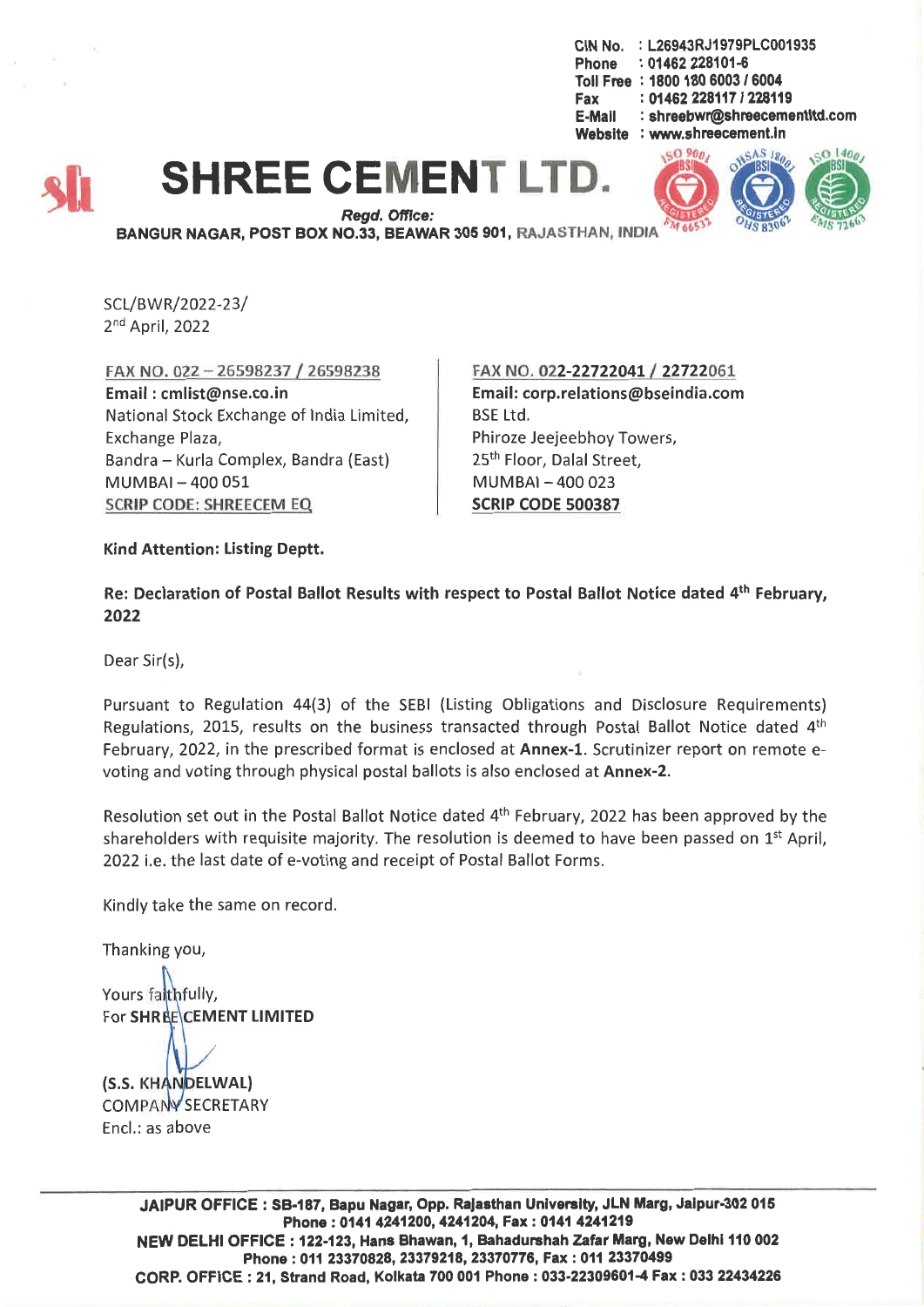CIN No. : L26943RJ1979PLC001935 Phone : 01462 228101-6 Toll Free: 1800 180 6003 / 6004 Fax: 01462 228117 / 228119 E-Mail: shreebwr@shreecementltd.com Website : www.shreecement.ln





 $Read.$  Office: BANGUR NAGAR, POST BOX NO.33, BEAWAR 305 901, RAJASTHAN, INDIA

SCL/BWR/2022-23/ 2<sup>nd</sup> April, 2022

FAX NO. 022 - 26598237/26598238 Email: cmlist@nse.co.in National Stock Exchange of India Limited, Exchange Plaza, Bandra - Kurla Complex, Bandra (East) MUMBAI-400051 SCRIP CODE: SHREECEM EQ

FAX NO. 022-22722041 { 22722061 Email: corp.relations@bseindia.com BSELtd. Phiroze Jeejeebhoy Towers, 25<sup>th</sup> Floor, Dalal Street,  $MUMBAI - 400023$ SCRIP CODE 500387

Kind Attention: Listing Deptt.

Re: Declaration of Postal Ballot Results with respect to Postal Ballot Notice dated 4th February, 2022

Dear Sir{s),

Pursuant to Regulation 44(3) of the SEBI (Listing Obligations and Disclosure Requirements) Regulations, 2015, results on the business transacted through Postal Ballot Notice dated  $4<sup>th</sup>$ February, 2022, in the prescribed format is enclosed at Annex-1. Scrutinizer report on remote evoting and voting through physical postal ballots is also enclosed at Annex-2.

Resolution set out in the Postal Ballot Notice dated 4<sup>th</sup> February, 2022 has been approved by the shareholders with requisite majority. The resolution is deemed to have been passed on  $1<sup>st</sup>$  April, 2022 i.e. the last date of e-voting and receipt of Postal Ballot Forms.

Kindly take the same on record.

Thanking you,

Yours faithfully. For SHRECEMENT LIMITED (S.S. KHANDELWAL) COMPANY SECRETARY

Encl.: as above

JAIPUR OFFICE: SB-187, Bapu Nagar, Opp. Rajasthan University, JLN Marg, Jalpur-302 015 Phone: 0141 4241200, 4241204, Fax: 0141 4241219 NEW DELHI OFFICE: 122-123, Hans Shawan, 1, Bahadurshah Zafar Marg, New Deihl 110 002 Phone: 011 23370828,23379218,23370776, Fax: 011 23370499 CORP. OFFICE: 21, Strand Road, Kolkata 700 001 Phone: 033-22309601-4 Fax: 033 22434226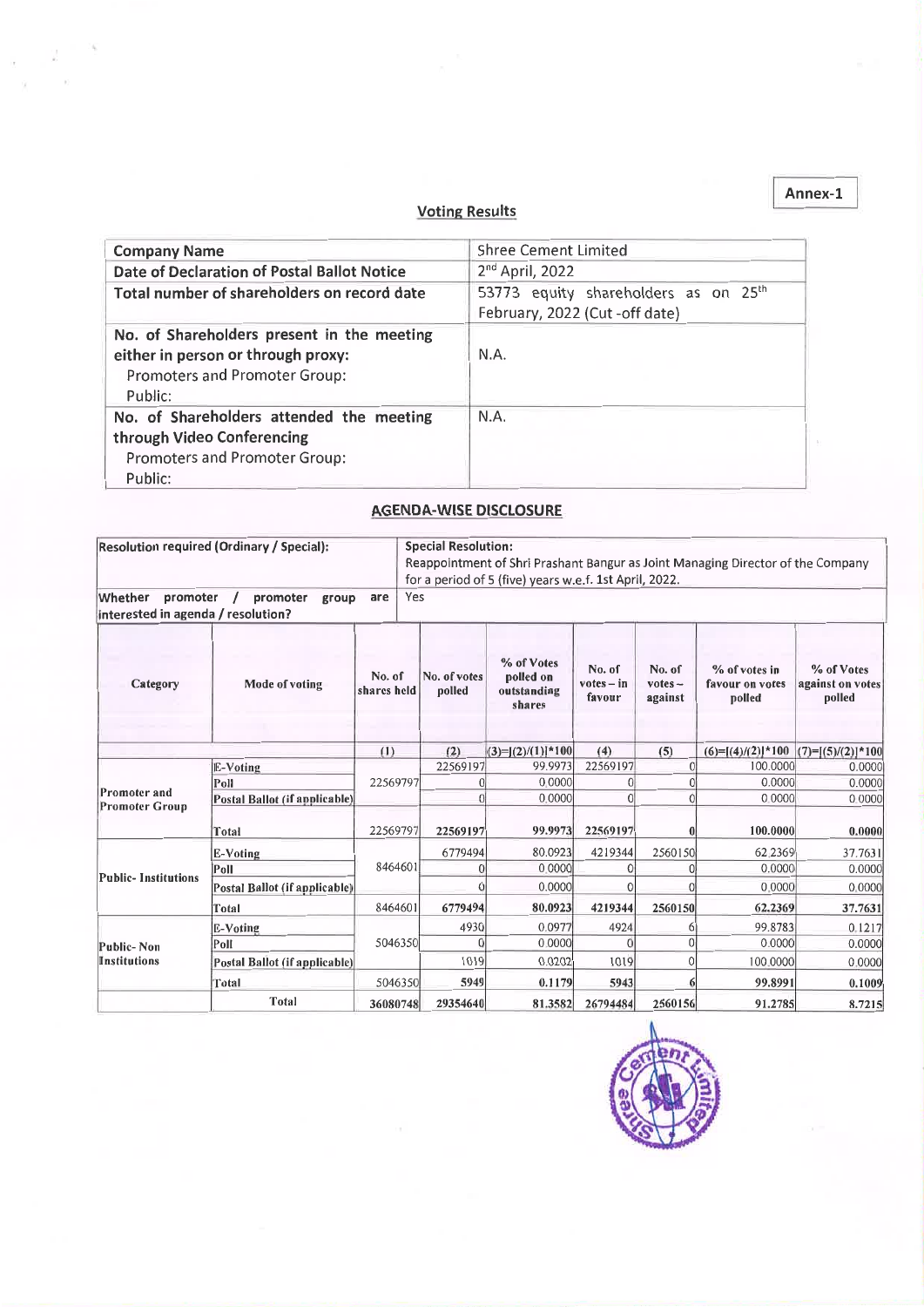#### Voting Results

| <b>Company Name</b>                                                                                                          | <b>Shree Cement Limited</b>                                                       |
|------------------------------------------------------------------------------------------------------------------------------|-----------------------------------------------------------------------------------|
| Date of Declaration of Postal Ballot Notice                                                                                  | $2nd$ April, 2022                                                                 |
| Total number of shareholders on record date                                                                                  | 53773 equity shareholders as on 25 <sup>th</sup><br>February, 2022 (Cut-off date) |
| No. of Shareholders present in the meeting<br>either in person or through proxy:<br>Promoters and Promoter Group:<br>Public: | N.A.                                                                              |
| No. of Shareholders attended the meeting<br>through Video Conferencing<br>Promoters and Promoter Group:<br>Public:           | N.A.                                                                              |

#### AGENDA-WISE DISCLOSURE

| <b>Resolution required (Ordinary / Special):</b>           |                               |                       | <b>Special Resolution:</b><br>Reappointment of Shri Prashant Bangur as Joint Managing Director of the Company<br>for a period of 5 (five) years w.e.f. 1st April, 2022. |                                                  |                                  |                                |                                            |                                          |  |
|------------------------------------------------------------|-------------------------------|-----------------------|-------------------------------------------------------------------------------------------------------------------------------------------------------------------------|--------------------------------------------------|----------------------------------|--------------------------------|--------------------------------------------|------------------------------------------|--|
| Whether<br>promoter<br>linterested in agenda / resolution? | promoter<br>group             | Yes<br>are            |                                                                                                                                                                         |                                                  |                                  |                                |                                            |                                          |  |
| Category                                                   | Mode of voting                | No. of<br>shares held | No. of votes<br>polled                                                                                                                                                  | % of Votes<br>polled on<br>outstanding<br>shares | No. of<br>$votes - in$<br>favour | No. of<br>$votes -$<br>against | % of votes in<br>favour on votes<br>polled | % of Votes<br>against on votes<br>polled |  |
|                                                            |                               | (1)                   | (2)                                                                                                                                                                     | $(3)=[(2)/(1)]*100$                              | (4)                              | (5)                            | $(6)=[(4)/(2)]*100$                        | $(7)=[(5)/(2)]*100$                      |  |
| Promoter and<br>Promoter Group                             | E-Voting                      | 22569797              | 22569197                                                                                                                                                                | 99.9973                                          | 22569197                         | $\overline{0}$                 | 100,0000                                   | 0.0000                                   |  |
|                                                            | Poll                          |                       |                                                                                                                                                                         | 0.0000                                           |                                  |                                | 0.0000                                     | 0.0000                                   |  |
|                                                            | Postal Ballot (if applicable) |                       | O                                                                                                                                                                       | 0.0000                                           | $\Omega$                         |                                | 0.0000                                     | 0.0000                                   |  |
|                                                            | Total                         | 22569797              | 22569197                                                                                                                                                                | 99.9973                                          | 22569197                         |                                | 100.0000                                   | 0.0000                                   |  |
| <b>Public-Institutions</b>                                 | E-Voting                      |                       | 6779494                                                                                                                                                                 | 80.0923                                          | 4219344                          | 2560150                        | 62.2369                                    | 37.7631                                  |  |
|                                                            | Poll                          | 8464601               |                                                                                                                                                                         | 0.0000                                           |                                  |                                | 0.0000                                     | 0.0000                                   |  |
|                                                            | Postal Ballot (if applicable) |                       |                                                                                                                                                                         | 0.0000                                           | C                                |                                | 0.0000                                     | 0.0000                                   |  |
|                                                            | Total <sup>'</sup>            | 8464601               | 6779494                                                                                                                                                                 | 80.0923                                          | 4219344                          | 2560150                        | 62.2369                                    | 37.7631                                  |  |
| Public-Non<br><b>Institutions</b>                          | <b>E-Voting</b>               | 5046350               | 4930                                                                                                                                                                    | 0.0977                                           | 4924                             |                                | 99.8783                                    | 0.1217                                   |  |
|                                                            | Poll                          |                       |                                                                                                                                                                         | 0.0000                                           |                                  |                                | 0.0000                                     | 0.0000                                   |  |
|                                                            | Postal Ballot (if applicable) |                       | 1019                                                                                                                                                                    | 0.0202                                           | 1019                             |                                | 100.0000                                   | 0.0000                                   |  |
|                                                            | Total                         | 5046350               | 5949                                                                                                                                                                    | 0.1179                                           | 5943                             |                                | 99.8991                                    | 0.1009                                   |  |
|                                                            | Total                         | 36080748              | 29354640                                                                                                                                                                | 81.3582                                          | 26794484                         | 2560156                        | 91.2785                                    | 8.7215                                   |  |



Annex-l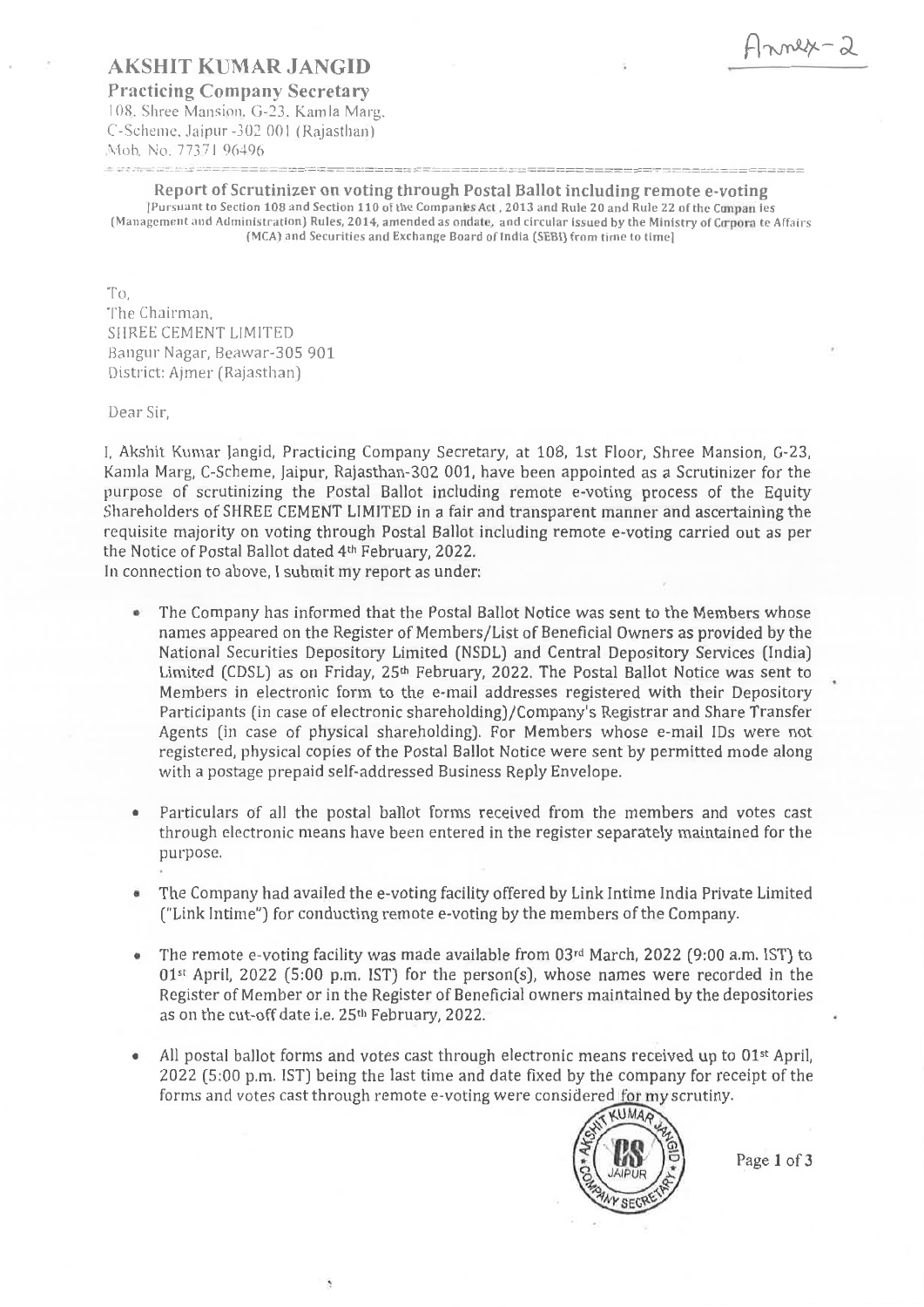## AKSHIT KUl\1AR JANGID

Practicing Company Secretary 108. Shree Mansion. G-23. Kamla Marg, C-Scheme, Jaipur -302 001 (Rajasthan) Moh, No. 77371 96496 - -\_::..:..::::\_:.::::...::.:~:..:....-:=.-:=:==.:=====-==:-=::=:::::==-:==:::.:========:::===========..:....:===================~======~=========

# Report of Scrutinizer on voting through Postal Ballot including remote e-voting

[Pursuant to Section 108 and Section 110 of the Companies Act. 2013 and Rule 20 and Rule 22 of the Companies (Management and Administration) Rules, 2014, amended as ondate, and circular issued by the Ministry of Corpora te Affairs (MCA) and Securities and Exchange Board of India (SEBI) from time to time]

 $T$ 

The Chairman. SIIREE CEMENT LIMITED Bangur Nagar, Beawar-305 901 District: Ajmer (Rajasthan)

Dear Sir,

I. Akshit Kumar Jangid, Practicing Company Secretary, at 108, 1st Floor, Shree Mansion, G-23. Karnla Marg, C-Scheme, [aipur, Rajasthan-302 001, have been appointed as a Scrutinizer for the purpose of scrutinizing the Postal Ballot including remote e-voting process of the Equity Shareholders of SHREE CEMENT LIMITED in a fair and transparent manner and ascertaining the requisite majority on voting through Postal Ballot including remote e-voting carried out as per the Notice of Postal Ballot dated 4th February, 2022.

In connection to above, I submit my report as under:

- The Company has informed that the Postal Ballot Notice was sent to the Members whose names appeared on the Register of Members/List of Beneficial Owners as provided by the National Securities Depository Limited (NSDL) and Central Depository Services (India) Limited (CDSL) as on Friday, 25<sup>th</sup> February, 2022. The Postal Ballot Notice was sent to Members in electronic form to the e-mail addresses registered with their Depository Participants (in case of electronic shareholding)/Company's Registrar and Share Transfer Agents (in case of physical shareholding). For Members whose e-mail IDs were not registered, physical copies of the Postal Ballot Notice were sent by permitted mode along with a postage prepaid self-addressed Business Reply Envelope.
- Particulars of all the postal ballot forms received from the members and votes cast through electronic means have been entered in the register separately maintained for the purpose.
- The Company had availed the e-voting facility offered by Link Intime India Private Limited ("Link Intime") for conducting remote e-voting by the members of the Company.
- The remote e-voting facility was made available from 03rd March, 2022 (9:00 a.m. 1ST) to 01st April, 2022 (5:00 p.m. 1ST) for the person(s), whose names were recorded in the Register of Member or in the Register of Beneficial owners maintained by the depositories as on the cut-off date i.e. 25<sup>th</sup> February, 2022.
- All postal ballot forms and votes cast through electronic means received up to 01<sup>st</sup> April, • 2022 (5:00 p.m. IST) being the last time and date fixed by the company for receipt of the forms and votes cast through remote e-voting were considered for my scrutiny.



Page 1 of 3

Annex-2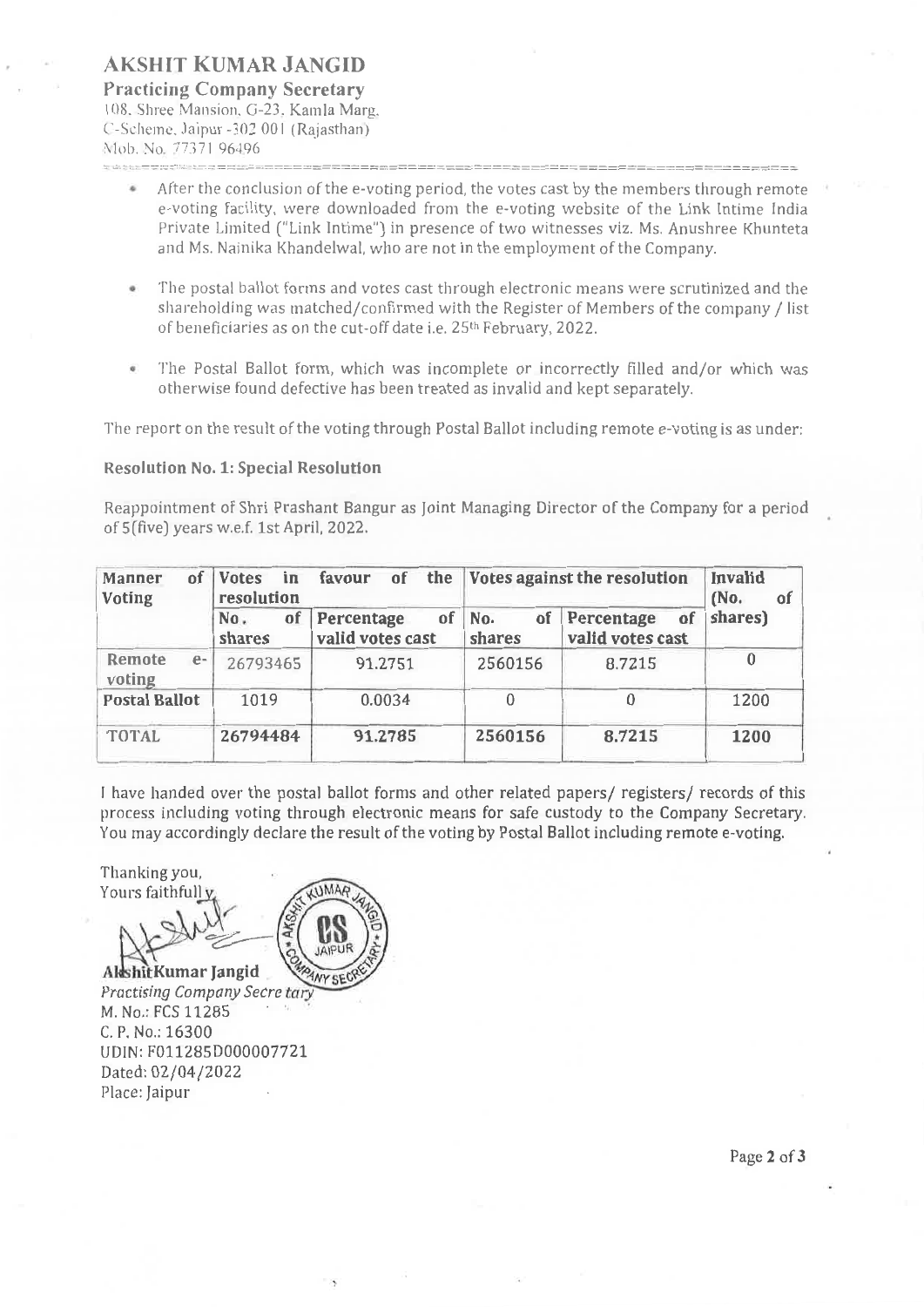## **AKSHIT KUMAR JANGID Practicing Company Secretary**

108. Shree Mansion. G-23. Kamla Marg. e-Scheme. Jaipur -30200 I (Rajasthan) Mob. No. 77371 96496 ; : -:::-::::::-::~: : --:~ =:::::::.::....:--===:===========-===============:::::===========================:=============== ==:::-:==:::....

- After the conclusion of the e-voting period, the votes cast by the members through remote e-voting facility, were downloaded from the e-voting website of the Link Intime India Private Limited ("Link Intime") in presence of two witnesses viz. Ms. Anushree Khunteta and Ms. Nainika Khandelwal, who are not in the employment of the Company.
- The postal ballot forms and votes cast through electronic means were scrutinized and the . shareholding was matched/confirmed with the Register of Members of the company / list of beneficiaries as on the cut-off date i.e. 25th February, 2022.
- The Postal Ballot form, which was incomplete or incorrectly filled and/or which was otherwise found defective has been treated as invalid and kept separately.

The report on the result of the voting through Postal Ballot including remote e-voting is as under:

#### **Resolution No.1: Special Resolution**

Reappointment of Shri Prashant Bangur as Joint Managing Director of the Company for a period of 5 (five) years w.e.f. 1st April, 2022.

| οf<br>Manner<br>Voting   | <b>Votes</b><br>in<br>resolution | favour<br>of                         | the Votes against the resolution | <b>Invalid</b><br>(No.<br>αſ         |         |
|--------------------------|----------------------------------|--------------------------------------|----------------------------------|--------------------------------------|---------|
|                          | of<br>No.<br>shares              | of<br>Percentage<br>valid votes cast | of<br>No.<br>shares              | Percentage<br>of<br>valid votes cast | shares) |
| Remote<br>$e-$<br>voting | 26793465                         | 91.2751                              | 2560156                          | 8.7215                               | 0       |
| <b>Postal Ballot</b>     | 1019                             | 0.0034                               | $\Omega$                         | 0                                    | 1200    |
| <b>TOTAL</b>             | 26794484                         | 91.2785                              | 2560156                          | 8.7215                               | 1200    |

<sup>J</sup> *have* handed over the postal ballot forms and other related papers/ registers/ records of this process including voting through electronic means for safe custody to the Company Secretary. You may accordingly declare the result of the voting by Postal Ballot including remote e-voting.

Thanking you, Yours faithfull y



Practising Company Secre tar M. No.: FCS 11285 C. P. No.: 16300 UDIN: F011285D000007721 Dated: 02/04/2022 Place: Jaipur